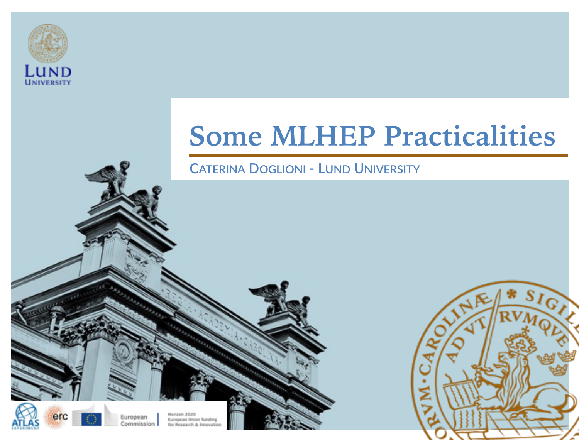

#### **Some MLHEP Practicalities**

#### **CATERINA DOGLIONI - LUND UNIVERSITY**



European commission

**Korlzon 2020** European Union funding for Research & Innovati



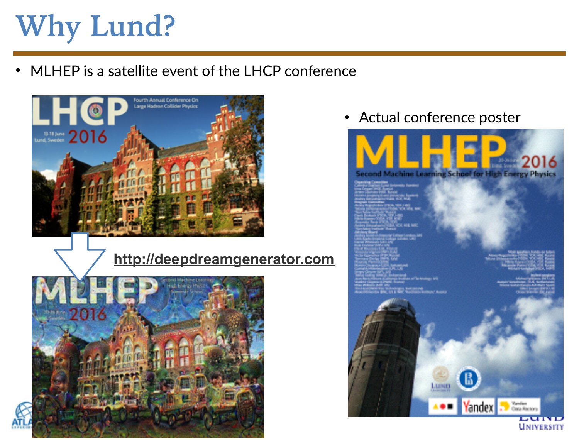# **Why Lund?**

• MLHEP is a satellite event of the LHCP conference



#### **<http://deepdreamgenerator.com>**



• Actual conference poster



**UNIVERSITY**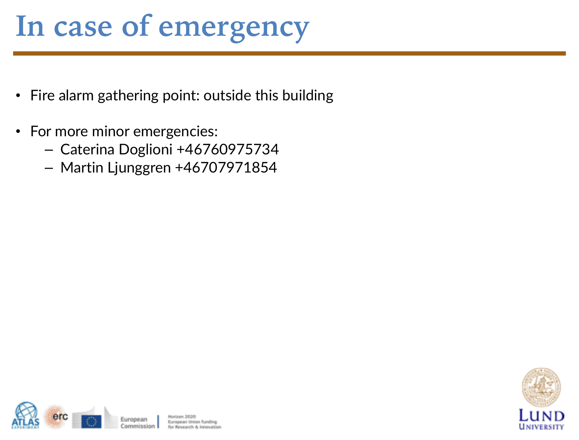#### **In case of emergency**

- Fire alarm gathering point: outside this building
- For more minor emergencies:
	- Caterina Doglioni +46760975734
	- Martin Ljunggren +46707971854



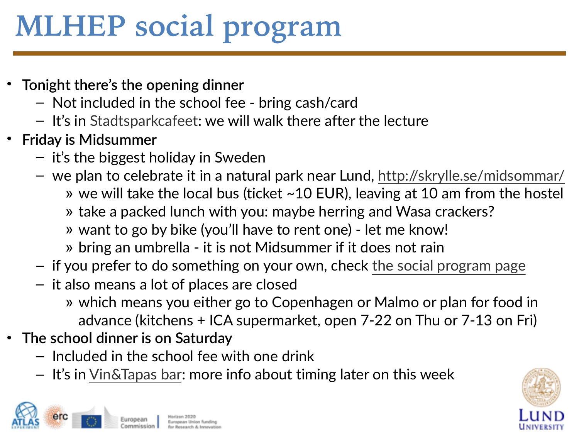# **MLHEP social program**

- **Tonight there's the opening dinner** 
	- Not included in the school fee bring cash/card
	- It's in [Stadtsparkcafeet](http://www.stadsparkscafeet.se): we will walk there after the lecture
- **Friday is Midsummer** 
	- it's the biggest holiday in Sweden
	- we plan to celebrate it in a natural park near Lund,<http://skrylle.se/midsommar/>
		- » we will take the local bus (ticket ~10 EUR), leaving at 10 am from the hostel
		- » take a packed lunch with you: maybe herring and Wasa crackers?
		- » want to go by bike (you'll have to rent one) let me know!
		- » bring an umbrella it is not Midsummer if it does not rain
	- if you prefer to do something on your own, check [the social program page](https://indico.cern.ch/event/497368/page/7425-social-programme)
	- it also means a lot of places are closed
		- » which means you either go to Copenhagen or Malmo or plan for food in advance (kitchens + ICA supermarket, open 7-22 on Thu or 7-13 on Fri)
- **The school dinner is on Saturday** 
	- Included in the school fee with one drink
	- It's in [Vin&Tapas bar](http://vintapasbar.se): more info about timing later on this week



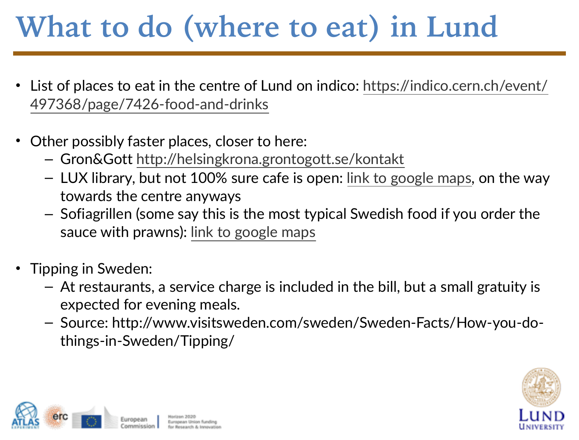## **What to do (where to eat) in Lund**

- [List of places to eat in the centre of Lund on indico: https://indico.cern.ch/event/](https://indico.cern.ch/event/497368/page/7426-food-and-drinks) 497368/page/7426-food-and-drinks
- Other possibly faster places, closer to here:
	- Gron&Gott <http://helsingkrona.grontogott.se/kontakt>
	- LUX library, but not 100% sure cafe is open: [link to google maps,](https://www.google.com/maps?ll=55.709869,13.200154&z=16&t=m&hl=en-US&gl=SE&mapclient=embed&q=Helgonav%C3%A4gen+3+223+62+Lund) on the way towards the centre anyways
	- Sofiagrillen (some say this is the most typical Swedish food if you order the sauce with prawns): [link to google maps](https://www.google.se/maps/place/Sofia+Grillen/@55.7151985,13.1989199,15z/data=!4m2!3m1!1s0x0:0x8a979c42d82d1f53?sa=X&ved=0ahUKEwitoN3UibXNAhXJ6CwKHYNUBl4Q_BIIgwEwCw)
- Tipping in Sweden:
	- At restaurants, a service charge is included in the bill, but a small gratuity is expected for evening meals.
	- Source: http://www.visitsweden.com/sweden/Sweden-Facts/How-you-dothings-in-Sweden/Tipping/